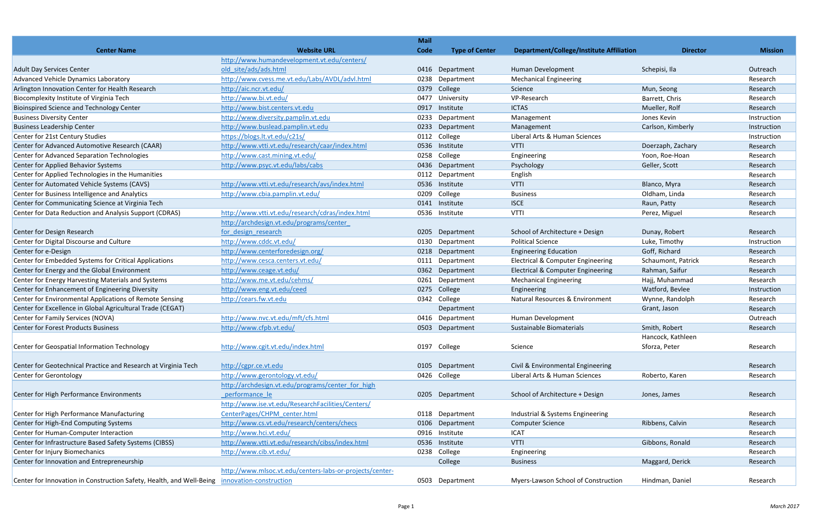|                                                                                              |                                                          | <b>Mail</b> |                       |                                                 |                    |                |
|----------------------------------------------------------------------------------------------|----------------------------------------------------------|-------------|-----------------------|-------------------------------------------------|--------------------|----------------|
| <b>Center Name</b>                                                                           | <b>Website URL</b>                                       | Code        | <b>Type of Center</b> | <b>Department/College/Institute Affiliation</b> | <b>Director</b>    | <b>Mission</b> |
|                                                                                              | http://www.humandevelopment.vt.edu/centers/              |             |                       |                                                 |                    |                |
| <b>Adult Day Services Center</b>                                                             | old site/ads/ads.html                                    | 0416        | Department            | Human Development                               | Schepisi, Ila      | Outreach       |
| Advanced Vehicle Dynamics Laboratory                                                         | http://www.cvess.me.vt.edu/Labs/AVDL/advl.html           | 0238        | Department            | <b>Mechanical Engineering</b>                   |                    | Research       |
| Arlington Innovation Center for Health Research                                              | http://aic.ncr.vt.edu/                                   | 0379        | College               | Science                                         | Mun, Seong         | Research       |
| Biocomplexity Institute of Virginia Tech                                                     | http://www.bi.vt.edu/                                    | 0477        | University            | VP-Research                                     | Barrett, Chris     | Research       |
| <b>Bioinspired Science and Technology Center</b>                                             | http://www.bist.centers.vt.edu                           | 0917        | Institute             | <b>ICTAS</b>                                    | Mueller, Rolf      | Research       |
| <b>Business Diversity Center</b>                                                             | http://www.diversity.pamplin.vt.edu                      | 0233        | Department            | Management                                      | Jones Kevin        | Instruction    |
| <b>Business Leadership Center</b>                                                            | http://www.buslead.pamplin.vt.edu                        | 0233        | Department            | Management                                      | Carlson, Kimberly  | Instruction    |
| Center for 21st Century Studies                                                              | https://blogs.lt.vt.edu/c21s/                            | 0112        | College               | Liberal Arts & Human Sciences                   |                    | Instruction    |
| Center for Advanced Automotive Research (CAAR)                                               | http://www.vtti.vt.edu/research/caar/index.html          | 0536        | Institute             | <b>VTTI</b>                                     | Doerzaph, Zachary  | Research       |
| <b>Center for Advanced Separation Technologies</b>                                           | http://www.cast.mining.vt.edu/                           | 0258        | College               | Engineering                                     | Yoon, Roe-Hoan     | Research       |
| Center for Applied Behavior Systems                                                          | http://www.psyc.vt.edu/labs/cabs                         | 0436        | Department            | Psychology                                      | Geller, Scott      | Research       |
| Center for Applied Technologies in the Humanities                                            |                                                          | 0112        | Department            | English                                         |                    | Research       |
| Center for Automated Vehicle Systems (CAVS)                                                  | http://www.vtti.vt.edu/research/avs/index.html           | 0536        | Institute             | <b>VTTI</b>                                     | Blanco, Myra       | Research       |
| Center for Business Intelligence and Analytics                                               | http://www.cbia.pamplin.vt.edu/                          | 0209        | College               | <b>Business</b>                                 | Oldham, Linda      | Research       |
| Center for Communicating Science at Virginia Tech                                            |                                                          | 0141        | Institute             | <b>ISCE</b>                                     | Raun, Patty        | Research       |
| Center for Data Reduction and Analysis Support (CDRAS)                                       | http://www.vtti.vt.edu/research/cdras/index.html         | 0536        | Institute             | <b>VTTI</b>                                     | Perez, Miguel      | Research       |
|                                                                                              | http://archdesign.vt.edu/programs/center                 |             |                       |                                                 |                    |                |
| Center for Design Research                                                                   | for design research                                      | 0205        | Department            | School of Architecture + Design                 | Dunay, Robert      | Research       |
| Center for Digital Discourse and Culture                                                     | http://www.cddc.vt.edu/                                  | 0130        | Department            | <b>Political Science</b>                        | Luke, Timothy      | Instruction    |
| Center for e-Design                                                                          | http://www.centerforedesign.org/                         | 0218        | Department            | <b>Engineering Education</b>                    | Goff, Richard      | Research       |
| Center for Embedded Systems for Critical Applications                                        | http://www.cesca.centers.vt.edu/                         | 0111        | Department            | Electrical & Computer Engineering               | Schaumont, Patrick | Research       |
| Center for Energy and the Global Environment                                                 | http://www.ceage.vt.edu/                                 | 0362        | Department            | <b>Electrical &amp; Computer Engineering</b>    | Rahman, Saifur     | Research       |
| Center for Energy Harvesting Materials and Systems                                           | http://www.me.vt.edu/cehms/                              | 0261        | Department            | <b>Mechanical Engineering</b>                   | Hajj, Muhammad     | Research       |
| Center for Enhancement of Engineering Diversity                                              | http://www.eng.vt.edu/ceed                               | 0275        | College               | Engineering                                     | Watford, Bevlee    | Instruction    |
| Center for Environmental Applications of Remote Sensing                                      | http://cears.fw.vt.edu                                   | 0342        | College               | Natural Resources & Environment                 | Wynne, Randolph    | Research       |
| Center for Excellence in Global Agricultural Trade (CEGAT)                                   |                                                          |             | Department            |                                                 | Grant, Jason       | Research       |
| Center for Family Services (NOVA)                                                            | http://www.nvc.vt.edu/mft/cfs.html                       |             | 0416 Department       | Human Development                               |                    | Outreach       |
| <b>Center for Forest Products Business</b>                                                   | http://www.cfpb.vt.edu/                                  | 0503        | Department            | Sustainable Biomaterials                        | Smith, Robert      | Research       |
|                                                                                              |                                                          |             |                       |                                                 | Hancock, Kathleen  |                |
| Center for Geospatial Information Technology                                                 | http://www.cgit.vt.edu/index.html                        |             | 0197 College          | Science                                         | Sforza, Peter      | Research       |
|                                                                                              |                                                          |             |                       |                                                 |                    |                |
| Center for Geotechnical Practice and Research at Virginia Tech                               | http://cgpr.ce.vt.edu                                    |             | 0105 Department       | Civil & Environmental Engineering               |                    | Research       |
| <b>Center for Gerontology</b>                                                                | http://www.gerontology.vt.edu/                           |             | 0426 College          | Liberal Arts & Human Sciences                   | Roberto, Karen     | Research       |
|                                                                                              | http://archdesign.vt.edu/programs/center for high        |             |                       |                                                 |                    |                |
| Center for High Performance Environments                                                     | performance le                                           |             | 0205 Department       | School of Architecture + Design                 | Jones, James       | Research       |
|                                                                                              | http://www.ise.vt.edu/ResearchFacilities/Centers/        |             |                       |                                                 |                    |                |
| Center for High Performance Manufacturing                                                    | CenterPages/CHPM center.html                             |             | 0118 Department       | Industrial & Systems Engineering                |                    | Research       |
| Center for High-End Computing Systems                                                        | http://www.cs.vt.edu/research/centers/checs              | 0106        | Department            | <b>Computer Science</b>                         | Ribbens, Calvin    | Research       |
| Center for Human-Computer Interaction                                                        | http://www.hci.vt.edu/                                   |             | 0916 Institute        | <b>ICAT</b>                                     |                    | Research       |
| Center for Infrastructure Based Safety Systems (CIBSS)                                       | http://www.vtti.vt.edu/research/cibss/index.html         | 0536        | Institute             | <b>VTTI</b>                                     | Gibbons, Ronald    | Research       |
| Center for Injury Biomechanics                                                               | http://www.cib.vt.edu/                                   | 0238        | College               | Engineering                                     |                    | Research       |
| Center for Innovation and Entrepreneurship                                                   |                                                          |             | College               | <b>Business</b>                                 | Maggard, Derick    | Research       |
|                                                                                              | http://www.mlsoc.vt.edu/centers-labs-or-projects/center- |             |                       |                                                 |                    |                |
| Center for Innovation in Construction Safety, Health, and Well-Being innovation-construction |                                                          |             | 0503 Department       | Myers-Lawson School of Construction             | Hindman, Daniel    | Research       |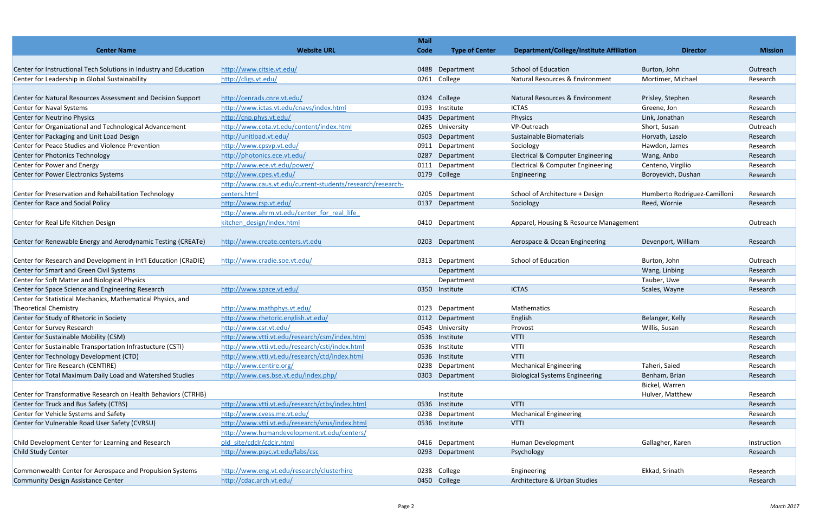| <b>Center Name</b>                                                | <b>Website URL</b>                                                                    | <b>Mail</b><br>Code | <b>Type of Center</b> | <b>Department/College/Institute Affiliation</b> | <b>Director</b>              | <b>Mission</b> |
|-------------------------------------------------------------------|---------------------------------------------------------------------------------------|---------------------|-----------------------|-------------------------------------------------|------------------------------|----------------|
|                                                                   |                                                                                       |                     |                       |                                                 |                              |                |
| Center for Instructional Tech Solutions in Industry and Education | http://www.citsie.vt.edu/                                                             | 0488                | Department            | <b>School of Education</b>                      | Burton, John                 | Outreach       |
| Center for Leadership in Global Sustainability                    | http://cligs.vt.edu/                                                                  |                     | 0261 College          | Natural Resources & Environment                 | Mortimer, Michael            | Research       |
|                                                                   |                                                                                       |                     |                       |                                                 |                              |                |
| Center for Natural Resources Assessment and Decision Support      | http://cenrads.cnre.vt.edu/                                                           | 0324                | College               | Natural Resources & Environment                 | Prisley, Stephen             | Research       |
| Center for Naval Systems                                          | http://www.ictas.vt.edu/cnavs/index.html                                              | 0193                | Institute             | <b>ICTAS</b>                                    | Greene, Jon                  | Research       |
| Center for Neutrino Physics                                       | http://cnp.phys.vt.edu/                                                               | 0435                | Department            | Physics                                         | Link, Jonathan               | Research       |
| Center for Organizational and Technological Advancement           | http://www.cota.vt.edu/content/index.html                                             | 0265                | University            | VP-Outreach                                     | Short, Susan                 | Outreach       |
| Center for Packaging and Unit Load Design                         | http://unitload.vt.edu/                                                               | 0503                | Department            | Sustainable Biomaterials                        | Horvath, Laszlo              | Research       |
| Center for Peace Studies and Violence Prevention                  | http://www.cpsvp.vt.edu/                                                              | 0911                | Department            | Sociology                                       | Hawdon, James                | Research       |
| Center for Photonics Technology                                   | http://photonics.ece.vt.edu/                                                          | 0287                | Department            | <b>Electrical &amp; Computer Engineering</b>    | Wang, Anbo                   | Research       |
| Center for Power and Energy                                       | http://www.ece.vt.edu/power/                                                          |                     | 0111 Department       | Electrical & Computer Engineering               | Centeno, Virgilio            | Research       |
| Center for Power Electronics Systems                              | http://www.cpes.vt.edu/<br>http://www.caus.vt.edu/current-students/research/research- | 0179                | College               | Engineering                                     | Boroyevich, Dushan           | Research       |
| Center for Preservation and Rehabilitation Technology             | centers.html                                                                          | 0205                | Department            | School of Architecture + Design                 | Humberto Rodriguez-Camilloni | Research       |
| Center for Race and Social Policy                                 | http://www.rsp.vt.edu/                                                                | 0137                | Department            | Sociology                                       | Reed, Wornie                 | Research       |
|                                                                   | http://www.ahrm.vt.edu/center_for_real_life                                           |                     |                       |                                                 |                              |                |
| Center for Real Life Kitchen Design                               | kitchen design/index.html                                                             |                     | 0410 Department       | Apparel, Housing & Resource Management          |                              | Outreach       |
|                                                                   |                                                                                       |                     |                       |                                                 |                              |                |
| Center for Renewable Energy and Aerodynamic Testing (CREATe)      | http://www.create.centers.vt.edu                                                      | 0203                | Department            | Aerospace & Ocean Engineering                   | Devenport, William           | Research       |
|                                                                   |                                                                                       |                     |                       |                                                 |                              |                |
| Center for Research and Development in Int'l Education (CRaDIE)   | http://www.cradie.soe.vt.edu/                                                         | 0313                | Department            | School of Education                             | Burton, John                 | Outreach       |
| Center for Smart and Green Civil Systems                          |                                                                                       |                     | Department            |                                                 | Wang, Linbing                | Research       |
| Center for Soft Matter and Biological Physics                     |                                                                                       |                     | Department            |                                                 | Tauber, Uwe                  | Research       |
| Center for Space Science and Engineering Research                 | http://www.space.vt.edu/                                                              | 0350                | Institute             | <b>ICTAS</b>                                    | Scales, Wayne                | Research       |
| Center for Statistical Mechanics, Mathematical Physics, and       |                                                                                       |                     |                       |                                                 |                              |                |
| <b>Theoretical Chemistry</b>                                      | http://www.mathphys.vt.edu/                                                           | 0123                | Department            | Mathematics                                     |                              | Research       |
| Center for Study of Rhetoric in Society                           | http://www.rhetoric.english.vt.edu/                                                   | 0112                | Department            | English                                         | Belanger, Kelly              | Research       |
| Center for Survey Research                                        | http://www.csr.vt.edu/                                                                |                     | 0543 University       | Provost                                         | Willis, Susan                | Research       |
| Center for Sustainable Mobility (CSM)                             | http://www.vtti.vt.edu/research/csm/index.html                                        |                     | 0536 Institute        | <b>VTTI</b>                                     |                              | Research       |
| Center for Sustainable Transportation Infrastucture (CSTI)        | http://www.vtti.vt.edu/research/csti/index.html                                       | 0536                | Institute             | <b>VTTI</b>                                     |                              | Research       |
| Center for Technology Development (CTD)                           | http://www.vtti.vt.edu/research/ctd/index.html                                        | 0536                | Institute             | <b>VTTI</b>                                     |                              | Research       |
| Center for Tire Research (CENTIRE)                                | http://www.centire.org/                                                               | 0238                | Department            | <b>Mechanical Engineering</b>                   | Taheri, Saied                | Research       |
| Center for Total Maximum Daily Load and Watershed Studies         | http://www.cws.bse.vt.edu/index.php/                                                  | 0303                | Department            | <b>Biological Systems Engineering</b>           | Benham, Brian                | Research       |
|                                                                   |                                                                                       |                     |                       |                                                 | Bickel, Warren               |                |
| Center for Transformative Research on Health Behaviors (CTRHB)    |                                                                                       |                     | Institute             |                                                 | Hulver, Matthew              | Research       |
| Center for Truck and Bus Safety (CTBS)                            | http://www.vtti.vt.edu/research/ctbs/index.html                                       | 0536                | Institute             | <b>VTTI</b>                                     |                              | Research       |
| Center for Vehicle Systems and Safety                             | http://www.cvess.me.vt.edu/                                                           | 0238                | Department            | <b>Mechanical Engineering</b>                   |                              | Research       |
| Center for Vulnerable Road User Safety (CVRSU)                    | http://www.vtti.vt.edu/research/vrus/index.html                                       | 0536                | Institute             | <b>VTTI</b>                                     |                              | Research       |
|                                                                   | http://www.humandevelopment.vt.edu/centers/                                           |                     |                       |                                                 |                              |                |
| Child Development Center for Learning and Research                | old site/cdclr/cdclr.html                                                             |                     | 0416 Department       | Human Development                               | Gallagher, Karen             | Instruction    |
| <b>Child Study Center</b>                                         | http://www.psyc.vt.edu/labs/csc                                                       | 0293                | Department            | Psychology                                      |                              | Research       |
| Commonwealth Center for Aerospace and Propulsion Systems          | http://www.eng.vt.edu/research/clusterhire                                            |                     | 0238 College          |                                                 | Ekkad, Srinath               | Research       |
| Community Design Assistance Center                                | http://cdac.arch.vt.edu/                                                              |                     | 0450 College          | Engineering<br>Architecture & Urban Studies     |                              | Research       |
|                                                                   |                                                                                       |                     |                       |                                                 |                              |                |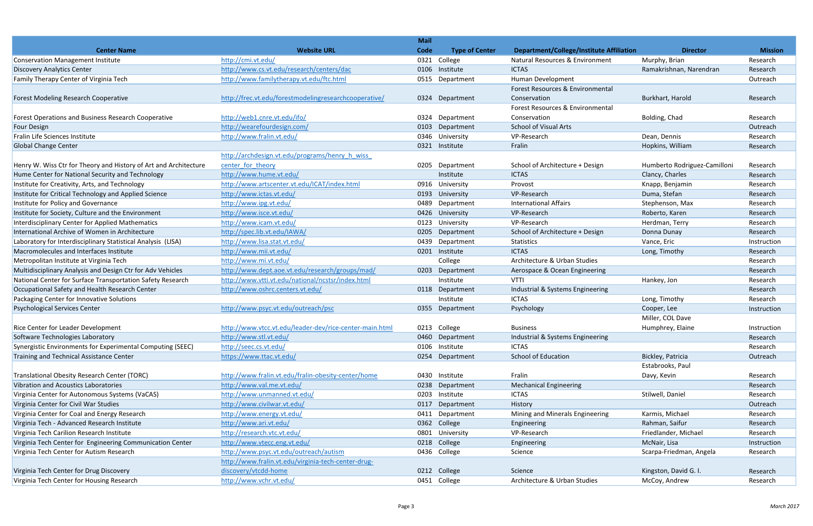|                                                                  |                                                         | <b>Mail</b> |                       |                                          |                              |                |
|------------------------------------------------------------------|---------------------------------------------------------|-------------|-----------------------|------------------------------------------|------------------------------|----------------|
| <b>Center Name</b>                                               | <b>Website URL</b>                                      | Code        | <b>Type of Center</b> | Department/College/Institute Affiliation | <b>Director</b>              | <b>Mission</b> |
| <b>Conservation Management Institute</b>                         | http://cmi.vt.edu/                                      | 0321        | College               | Natural Resources & Environment          | Murphy, Brian                | Research       |
| <b>Discovery Analytics Center</b>                                | http://www.cs.vt.edu/research/centers/dac               | 0106        | Institute             | <b>ICTAS</b>                             | Ramakrishnan, Narendran      | Research       |
| Family Therapy Center of Virginia Tech                           | http://www.familytherapy.vt.edu/ftc.html                | 0515        | Department            | Human Development                        |                              | Outreach       |
|                                                                  |                                                         |             |                       | Forest Resources & Environmental         |                              |                |
| Forest Modeling Research Cooperative                             | http://frec.vt.edu/forestmodelingresearchcooperative/   | 0324        | Department            | Conservation                             | Burkhart, Harold             | Research       |
|                                                                  |                                                         |             |                       | Forest Resources & Environmental         |                              |                |
| Forest Operations and Business Research Cooperative              | http://web1.cnre.vt.edu/ifo/                            | 0324        | Department            | Conservation                             | Bolding, Chad                | Research       |
| <b>Four Design</b>                                               | http://wearefourdesign.com/                             | 0103        | Department            | <b>School of Visual Arts</b>             |                              | Outreach       |
| Fralin Life Sciences Institute                                   | http://www.fralin.vt.edu/                               | 0346        | University            | VP-Research                              | Dean, Dennis                 | Research       |
| Global Change Center                                             |                                                         | 0321        | Institute             | Fralin                                   | Hopkins, William             | Research       |
|                                                                  | http://archdesign.vt.edu/programs/henry h wiss          |             |                       |                                          |                              |                |
| Henry W. Wiss Ctr for Theory and History of Art and Architecture | center for theory                                       |             | 0205 Department       | School of Architecture + Design          | Humberto Rodriguez-Camilloni | Research       |
| Hume Center for National Security and Technology                 | http://www.hume.vt.edu/                                 |             | Institute             | <b>ICTAS</b>                             | Clancy, Charles              | Research       |
| Institute for Creativity, Arts, and Technology                   | http://www.artscenter.vt.edu/ICAT/index.html            | 0916        | University            | Provost                                  | Knapp, Benjamin              | Research       |
| Institute for Critical Technology and Applied Science            | http://www.ictas.vt.edu/                                | 0193        | University            | VP-Research                              | Duma, Stefan                 | Research       |
| Institute for Policy and Governance                              | http://www.ipg.vt.edu/                                  | 0489        | Department            | <b>International Affairs</b>             | Stephenson, Max              | Research       |
| Institute for Society, Culture and the Environment               | http://www.isce.vt.edu/                                 | 0426        | University            | VP-Research                              | Roberto, Karen               | Research       |
| Interdisciplinary Center for Applied Mathematics                 | http://www.icam.vt.edu/                                 | 0123        | University            | VP-Research                              | Herdman, Terry               | Research       |
| International Archive of Women in Architecture                   | http://spec.lib.vt.edu/IAWA/                            | 0205        | Department            | School of Architecture + Design          | Donna Dunay                  | Research       |
| Laboratory for Interdisciplinary Statistical Analysis (LISA)     | http://www.lisa.stat.vt.edu/                            | 0439        | Department            | Statistics                               | Vance, Eric                  | Instruction    |
| Macromolecules and Interfaces Institute                          | http://www.mii.vt.edu/                                  | 0201        | Institute             | <b>ICTAS</b>                             | Long, Timothy                | Research       |
| Metropolitan Institute at Virginia Tech                          | http://www.mi.vt.edu/                                   |             | College               | Architecture & Urban Studies             |                              | Research       |
| Multidisciplinary Analysis and Design Ctr for Adv Vehicles       | http://www.dept.aoe.vt.edu/research/groups/mad/         |             | 0203 Department       | Aerospace & Ocean Engineering            |                              | Research       |
| National Center for Surface Transportation Safety Research       | http://www.vtti.vt.edu/national/ncstsr/index.html       |             | Institute             | <b>VTTI</b>                              | Hankey, Jon                  | Research       |
| Occupational Safety and Health Research Center                   | http://www.oshrc.centers.vt.edu/                        | 0118        | Department            | Industrial & Systems Engineering         |                              | Research       |
| Packaging Center for Innovative Solutions                        |                                                         |             | Institute             | <b>ICTAS</b>                             | Long, Timothy                | Research       |
| <b>Psychological Services Center</b>                             | http://www.psyc.vt.edu/outreach/psc                     | 0355        | Department            | Psychology                               | Cooper, Lee                  | Instruction    |
|                                                                  |                                                         |             |                       |                                          | Miller, COL Dave             |                |
| <b>Rice Center for Leader Development</b>                        | http://www.vtcc.vt.edu/leader-dev/rice-center-main.html |             | 0213 College          | <b>Business</b>                          | Humphrey, Elaine             | Instruction    |
| Software Technologies Laboratory                                 | http://www.stl.vt.edu/                                  | 0460        | Department            | Industrial & Systems Engineering         |                              | Research       |
| Synergistic Environments for Experimental Computing (SEEC)       | http://seec.cs.vt.edu/                                  | 0106        | Institute             | <b>ICTAS</b>                             |                              | Research       |
| Training and Technical Assistance Center                         | https://www.ttac.vt.edu/                                | 0254        | Department            | School of Education                      | Bickley, Patricia            | Outreach       |
|                                                                  |                                                         |             |                       |                                          | Estabrooks, Paul             |                |
| Translational Obesity Research Center (TORC)                     | http://www.fralin.vt.edu/fralin-obesity-center/home     | 0430        | Institute             | Fralin                                   | Davy, Kevin                  | Research       |
| Vibration and Acoustics Laboratories                             | http://www.val.me.vt.edu/                               | 0238        | Department            | <b>Mechanical Engineering</b>            |                              | Research       |
| Virginia Center for Autonomous Systems (VaCAS)                   | http://www.unmanned.vt.edu/                             | 0203        | Institute             | <b>ICTAS</b>                             | Stilwell, Daniel             | Research       |
| Virginia Center for Civil War Studies                            | http://www.civilwar.vt.edu/                             | 0117        | Department            | History                                  |                              | Outreach       |
| Virginia Center for Coal and Energy Research                     | http://www.energy.vt.edu/                               | 0411        | Department            | Mining and Minerals Engineering          | Karmis, Michael              | Research       |
| Virginia Tech - Advanced Research Institute                      | http://www.ari.vt.edu/                                  | 0362        | College               | Engineering                              | Rahman, Saifur               | Research       |
| Virginia Tech Carilion Research Institute                        | http://research.vtc.vt.edu/                             |             | 0801 University       | VP-Research                              | Friedlander, Michael         | Research       |
| Virginia Tech Center for Engineering Communication Center        | http://www.vtecc.eng.vt.edu/                            | 0218        | College               | Engineering                              | McNair, Lisa                 | Instruction    |
| Virginia Tech Center for Autism Research                         | http://www.psyc.vt.edu/outreach/autism                  |             | 0436 College          | Science                                  | Scarpa-Friedman, Angela      | Research       |
|                                                                  | http://www.fralin.vt.edu/virginia-tech-center-drug-     |             |                       |                                          |                              |                |
| Virginia Tech Center for Drug Discovery                          | discovery/vtcdd-home                                    |             | 0212 College          | Science                                  | Kingston, David G. I.        | Research       |
| Virginia Tech Center for Housing Research                        | http://www.vchr.vt.edu/                                 |             | 0451 College          | Architecture & Urban Studies             | McCoy, Andrew                | Research       |
|                                                                  |                                                         |             |                       |                                          |                              |                |